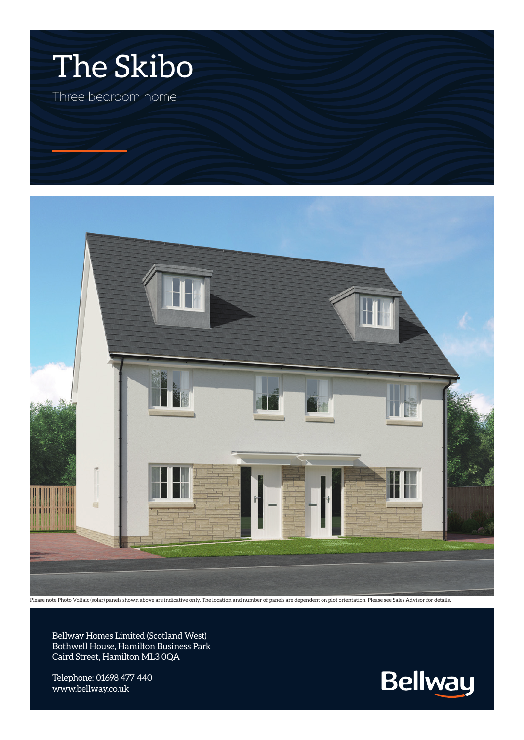



Please note Photo Voltaic (solar) panels shown above are indicative only. The location and number of panels are dependent on plot orientation. Please see Sales Advisor for details.

Bellway Homes Limited (Scotland West) Bothwell House, Hamilton Business Park Caird Street, Hamilton ML3 0QA

Telephone: 01698 477 440 www.bellway.co.uk

**Bellway**